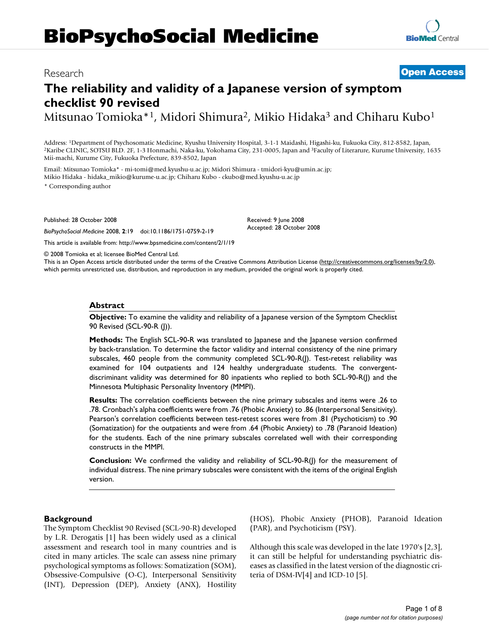# **BioPsychoSocial Medicine**

# **The reliability and validity of a Japanese version of symptom checklist 90 revised**

Mitsunao Tomioka\*<sup>1</sup>, Midori Shimura<sup>2</sup>, Mikio Hidaka<sup>3</sup> and Chiharu Kubo<sup>1</sup>

Address: <sup>1</sup>Department of Psychosomatic Medicine, Kyushu University Hospital, 3-1-1 Maidashi, Higashi-ku, Fukuoka City, 812-8582, Japan, <sup>2</sup>Karibe CLINIC, SOTSU BLD. 2F, 1-3 Honmachi, Naka-ku, Yokohama City, 231-0005, Japa Mii-machi, Kurume City, Fukuoka Prefecture, 839-8502, Japan

Email: Mitsunao Tomioka\* - mi-tomi@med.kyushu-u.ac.jp; Midori Shimura - tmidori-kyu@umin.ac.jp; Mikio Hidaka - hidaka\_mikio@kurume-u.ac.jp; Chiharu Kubo - ckubo@med.kyushu-u.ac.jp

\* Corresponding author

Published: 28 October 2008

*BioPsychoSocial Medicine* 2008, **2**:19 doi:10.1186/1751-0759-2-19 [This article is available from: http://www.bpsmedicine.com/content/2/1/19](http://www.bpsmedicine.com/content/2/1/19) Received: 9 June 2008 Accepted: 28 October 2008

© 2008 Tomioka et al; licensee BioMed Central Ltd.

This is an Open Access article distributed under the terms of the Creative Commons Attribution License [\(http://creativecommons.org/licenses/by/2.0\)](http://creativecommons.org/licenses/by/2.0), which permits unrestricted use, distribution, and reproduction in any medium, provided the original work is properly cited.

#### **Abstract**

**Objective:** To examine the validity and reliability of a Japanese version of the Symptom Checklist 90 Revised (SCL-90-R (J)).

**Methods:** The English SCL-90-R was translated to Japanese and the Japanese version confirmed by back-translation. To determine the factor validity and internal consistency of the nine primary subscales, 460 people from the community completed SCL-90-R(J). Test-retest reliability was examined for 104 outpatients and 124 healthy undergraduate students. The convergentdiscriminant validity was determined for 80 inpatients who replied to both SCL-90-R(J) and the Minnesota Multiphasic Personality Inventory (MMPI).

**Results:** The correlation coefficients between the nine primary subscales and items were .26 to .78. Cronbach's alpha coefficients were from .76 (Phobic Anxiety) to .86 (Interpersonal Sensitivity). Pearson's correlation coefficients between test-retest scores were from .81 (Psychoticism) to .90 (Somatization) for the outpatients and were from .64 (Phobic Anxiety) to .78 (Paranoid Ideation) for the students. Each of the nine primary subscales correlated well with their corresponding constructs in the MMPI.

**Conclusion:** We confirmed the validity and reliability of SCL-90-R(J) for the measurement of individual distress. The nine primary subscales were consistent with the items of the original English version.

#### **Background**

The Symptom Checklist 90 Revised (SCL-90-R) developed by L.R. Derogatis [1] has been widely used as a clinical assessment and research tool in many countries and is cited in many articles. The scale can assess nine primary psychological symptoms as follows: Somatization (SOM), Obsessive-Compulsive (O-C), Interpersonal Sensitivity (INT), Depression (DEP), Anxiety (ANX), Hostility (HOS), Phobic Anxiety (PHOB), Paranoid Ideation (PAR), and Psychoticism (PSY).

Although this scale was developed in the late 1970's [2,3], it can still be helpful for understanding psychiatric diseases as classified in the latest version of the diagnostic criteria of DSM-IV[4] and ICD-10 [5].

## Research **[Open Access](http://www.biomedcentral.com/info/about/charter/)**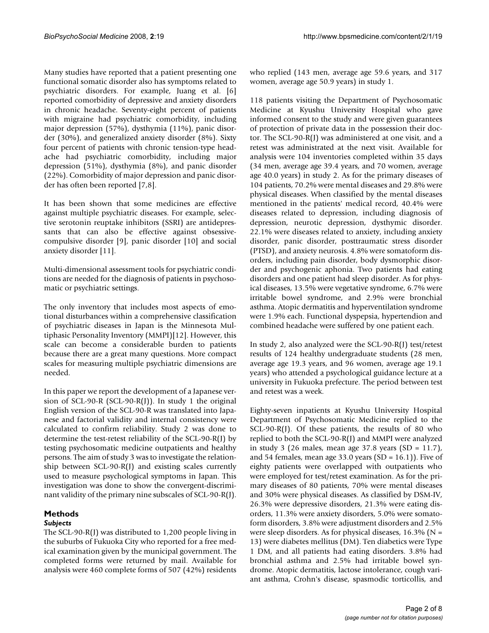Many studies have reported that a patient presenting one functional somatic disorder also has symptoms related to psychiatric disorders. For example, Juang et al. [6] reported comorbidity of depressive and anxiety disorders in chronic headache. Seventy-eight percent of patients with migraine had psychiatric comorbidity, including major depression (57%), dysthymia (11%), panic disorder (30%), and generalized anxiety disorder (8%). Sixty four percent of patients with chronic tension-type headache had psychiatric comorbidity, including major depression (51%), dysthymia (8%), and panic disorder (22%). Comorbidity of major depression and panic disorder has often been reported [7,8].

It has been shown that some medicines are effective against multiple psychiatric diseases. For example, selective serotonin reuptake inhibitors (SSRI) are antidepressants that can also be effective against obsessivecompulsive disorder [9], panic disorder [10] and social anxiety disorder [11].

Multi-dimensional assessment tools for psychiatric conditions are needed for the diagnosis of patients in psychosomatic or psychiatric settings.

The only inventory that includes most aspects of emotional disturbances within a comprehensive classification of psychiatric diseases in Japan is the Minnesota Multiphasic Personality Inventory (MMPI)[12]. However, this scale can become a considerable burden to patients because there are a great many questions. More compact scales for measuring multiple psychiatric dimensions are needed.

In this paper we report the development of a Japanese version of SCL-90-R (SCL-90-R(J)). In study 1 the original English version of the SCL-90-R was translated into Japanese and factorial validity and internal consistency were calculated to confirm reliability. Study 2 was done to determine the test-retest reliability of the SCL-90-R(J) by testing psychosomatic medicine outpatients and healthy persons. The aim of study 3 was to investigate the relationship between SCL-90-R(J) and existing scales currently used to measure psychological symptoms in Japan. This investigation was done to show the convergent-discriminant validity of the primary nine subscales of SCL-90-R(J).

# **Methods**

### *Subjects*

The SCL-90-R(J) was distributed to 1,200 people living in the suburbs of Fukuoka City who reported for a free medical examination given by the municipal government. The completed forms were returned by mail. Available for analysis were 460 complete forms of 507 (42%) residents who replied (143 men, average age 59.6 years, and 317 women, average age 50.9 years) in study 1.

118 patients visiting the Department of Psychosomatic Medicine at Kyushu University Hospital who gave informed consent to the study and were given guarantees of protection of private data in the possession their doctor. The SCL-90-R(J) was administered at one visit, and a retest was administrated at the next visit. Available for analysis were 104 inventories completed within 35 days (34 men, average age 39.4 years, and 70 women, average age 40.0 years) in study 2. As for the primary diseases of 104 patients, 70.2% were mental diseases and 29.8% were physical diseases. When classified by the mental diseases mentioned in the patients' medical record, 40.4% were diseases related to depression, including diagnosis of depression, neurotic depression, dysthymic disorder. 22.1% were diseases related to anxiety, including anxiety disorder, panic disorder, posttraumatic stress disorder (PTSD), and anxiety neurosis. 4.8% were somatoform disorders, including pain disorder, body dysmorphic disorder and psychogenic aphonia. Two patients had eating disorders and one patient had sleep disorder. As for physical diseases, 13.5% were vegetative syndrome, 6.7% were irritable bowel syndrome, and 2.9% were bronchial asthma. Atopic dermatitis and hyperventilation syndrome were 1.9% each. Functional dyspepsia, hypertendion and combined headache were suffered by one patient each.

In study 2, also analyzed were the SCL-90-R(J) test/retest results of 124 healthy undergraduate students (28 men, average age 19.3 years, and 96 women, average age 19.1 years) who attended a psychological guidance lecture at a university in Fukuoka prefecture. The period between test and retest was a week.

Eighty-seven inpatients at Kyushu University Hospital Department of Psychosomatic Medicine replied to the SCL-90-R(J). Of these patients, the results of 80 who replied to both the SCL-90-R(J) and MMPI were analyzed in study 3 (26 males, mean age 37.8 years  $(SD = 11.7)$ , and 54 females, mean age 33.0 years (SD =  $16.1$ )). Five of eighty patients were overlapped with outpatients who were employed for test/retest examination. As for the primary diseases of 80 patients, 70% were mental diseases and 30% were physical diseases. As classified by DSM-IV, 26.3% were depressive disorders, 21.3% were eating disorders, 11.3% were anxiety disorders, 5.0% were somatoform disorders, 3.8% were adjustment disorders and 2.5% were sleep disorders. As for physical diseases,  $16.3\%$  (N = 13) were diabetes mellitus (DM). Ten diabetics were Type 1 DM, and all patients had eating disorders. 3.8% had bronchial asthma and 2.5% had irritable bowel syndrome. Atopic dermatitis, lactose intolerance, cough variant asthma, Crohn's disease, spasmodic torticollis, and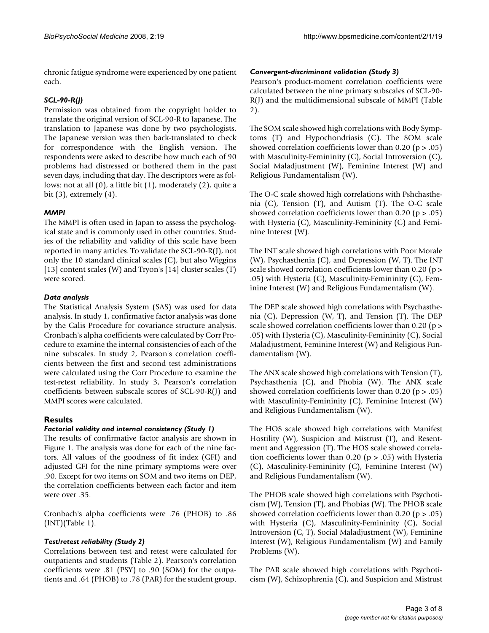chronic fatigue syndrome were experienced by one patient each.

#### *SCL-90-R(J)*

Permission was obtained from the copyright holder to translate the original version of SCL-90-R to Japanese. The translation to Japanese was done by two psychologists. The Japanese version was then back-translated to check for correspondence with the English version. The respondents were asked to describe how much each of 90 problems had distressed or bothered them in the past seven days, including that day. The descriptors were as follows: not at all (0), a little bit (1), moderately (2), quite a bit  $(3)$ , extremely  $(4)$ .

#### *MMPI*

The MMPI is often used in Japan to assess the psychological state and is commonly used in other countries. Studies of the reliability and validity of this scale have been reported in many articles. To validate the SCL-90-R(J), not only the 10 standard clinical scales (C), but also Wiggins [13] content scales (W) and Tryon's [14] cluster scales (T) were scored.

#### *Data analysis*

The Statistical Analysis System (SAS) was used for data analysis. In study 1, confirmative factor analysis was done by the Calis Procedure for covariance structure analysis. Cronbach's alpha coefficients were calculated by Corr Procedure to examine the internal consistencies of each of the nine subscales. In study 2, Pearson's correlation coefficients between the first and second test administrations were calculated using the Corr Procedure to examine the test-retest reliability. In study 3, Pearson's correlation coefficients between subscale scores of SCL-90-R(J) and MMPI scores were calculated.

#### **Results**

#### *Factorial validity and internal consistency (Study 1)*

The results of confirmative factor analysis are shown in Figure 1. The analysis was done for each of the nine factors. All values of the goodness of fit index (GFI) and adjusted GFI for the nine primary symptoms were over .90. Except for two items on SOM and two items on DEP, the correlation coefficients between each factor and item were over .35.

Cronbach's alpha coefficients were .76 (PHOB) to .86 (INT)(Table 1).

#### *Test/retest reliability (Study 2)*

Correlations between test and retest were calculated for outpatients and students (Table 2). Pearson's correlation coefficients were .81 (PSY) to .90 (SOM) for the outpatients and .64 (PHOB) to .78 (PAR) for the student group.

#### *Convergent-discriminant validation (Study 3)*

Pearson's product-moment correlation coefficients were calculated between the nine primary subscales of SCL-90- R(J) and the multidimensional subscale of MMPI (Table 2).

The SOM scale showed high correlations with Body Symptoms (T) and Hypochondriasis (C). The SOM scale showed correlation coefficients lower than  $0.20$  (p  $> .05$ ) with Masculinity-Femininity (C), Social Introversion (C), Social Maladjustment (W), Feminine Interest (W) and Religious Fundamentalism (W).

The O-C scale showed high correlations with Pshchasthenia (C), Tension (T), and Autism (T). The O-C scale showed correlation coefficients lower than 0.20 ( $p > .05$ ) with Hysteria (C), Masculinity-Femininity (C) and Feminine Interest (W).

The INT scale showed high correlations with Poor Morale (W), Psychasthenia (C), and Depression (W, T). The INT scale showed correlation coefficients lower than 0.20 (p > .05) with Hysteria (C), Masculinity-Femininity (C), Feminine Interest (W) and Religious Fundamentalism (W).

The DEP scale showed high correlations with Psychasthenia (C), Depression (W, T), and Tension (T). The DEP scale showed correlation coefficients lower than 0.20 (p > .05) with Hysteria (C), Masculinity-Femininity (C), Social Maladjustment, Feminine Interest (W) and Religious Fundamentalism (W).

The ANX scale showed high correlations with Tension (T), Psychasthenia (C), and Phobia (W). The ANX scale showed correlation coefficients lower than 0.20 (p > .05) with Masculinity-Femininity (C), Feminine Interest (W) and Religious Fundamentalism (W).

The HOS scale showed high correlations with Manifest Hostility (W), Suspicion and Mistrust (T), and Resentment and Aggression (T). The HOS scale showed correlation coefficients lower than 0.20 ( $p > .05$ ) with Hysteria (C), Masculinity-Femininity (C), Feminine Interest (W) and Religious Fundamentalism (W).

The PHOB scale showed high correlations with Psychoticism (W), Tension (T), and Phobias (W). The PHOB scale showed correlation coefficients lower than  $0.20$  (p  $> 0.05$ ) with Hysteria (C), Masculinity-Femininity (C), Social Introversion (C, T), Social Maladjustment (W), Feminine Interest (W), Religious Fundamentalism (W) and Family Problems (W).

The PAR scale showed high correlations with Psychoticism (W), Schizophrenia (C), and Suspicion and Mistrust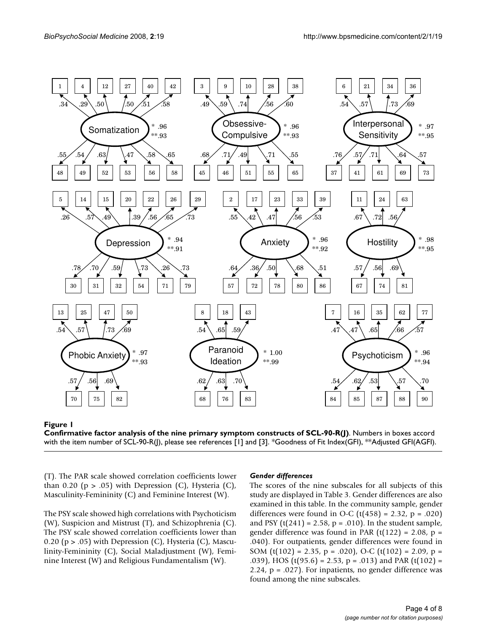



(T). The PAR scale showed correlation coefficients lower than 0.20 ( $p > .05$ ) with Depression (C), Hysteria (C), Masculinity-Femininity (C) and Feminine Interest (W).

The PSY scale showed high correlations with Psychoticism (W), Suspicion and Mistrust (T), and Schizophrenia (C). The PSY scale showed correlation coefficients lower than 0.20 ( $p > .05$ ) with Depression (C), Hysteria (C), Masculinity-Femininity (C), Social Maladjustment (W), Feminine Interest (W) and Religious Fundamentalism (W).

#### *Gender differences*

The scores of the nine subscales for all subjects of this study are displayed in Table 3. Gender differences are also examined in this table. In the community sample, gender differences were found in O-C ( $t(458) = 2.32$ ,  $p = .020$ ) and PSY ( $t(241) = 2.58$ ,  $p = .010$ ). In the student sample, gender difference was found in PAR  $(t(122) = 2.08, p =$ .040). For outpatients, gender differences were found in SOM  $(t(102) = 2.35, p = .020)$ , O-C  $(t(102) = 2.09, p =$ .039), HOS ( $t(95.6) = 2.53$ ,  $p = .013$ ) and PAR ( $t(102) =$ 2.24,  $p = .027$ ). For inpatients, no gender difference was found among the nine subscales.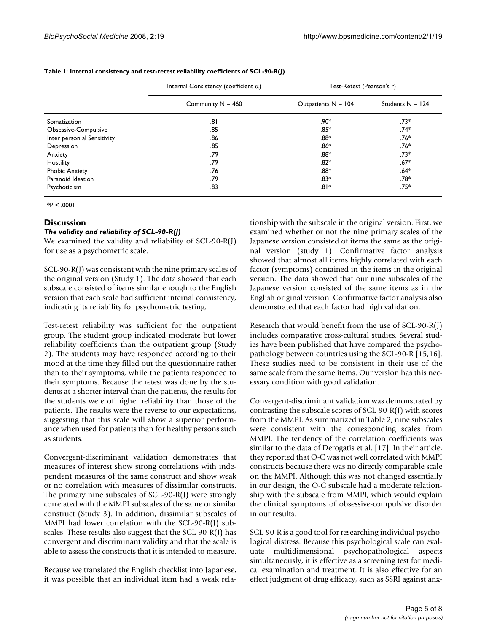|                             | Internal Consistency (coefficient $\alpha$ ) | Test-Retest (Pearson's r) |                    |  |  |
|-----------------------------|----------------------------------------------|---------------------------|--------------------|--|--|
|                             | Community $N = 460$                          | Outpatients $N = 104$     | Students $N = 124$ |  |  |
| Somatization                | .81                                          | .90*                      | .73*               |  |  |
| Obsessive-Compulsive        | .85                                          | .85*                      | .74*               |  |  |
| Inter person al Sensitivity | .86                                          | .88*                      | $.76*$             |  |  |
| Depression                  | .85                                          | $.86*$                    | $.76*$             |  |  |
| Anxiety                     | .79                                          | .88*                      | .73*               |  |  |
| Hostility                   | .79                                          | $.82*$                    | $.67*$             |  |  |
| <b>Phobic Anxiety</b>       | .76                                          | .88*                      | .64*               |  |  |
| Paranoid Ideation           | .79                                          | $.83*$                    | .78*               |  |  |
| Psychoticism                | .83                                          | $.81*$                    | .75*               |  |  |

**Table 1: Internal consistency and test-retest reliability coefficients of SCL-90-R(J)**

 $*P < .0001$ 

#### **Discussion**

#### *The validity and reliability of SCL-90-R(J)*

We examined the validity and reliability of SCL-90-R(J) for use as a psychometric scale.

SCL-90-R(J) was consistent with the nine primary scales of the original version (Study 1). The data showed that each subscale consisted of items similar enough to the English version that each scale had sufficient internal consistency, indicating its reliability for psychometric testing.

Test-retest reliability was sufficient for the outpatient group. The student group indicated moderate but lower reliability coefficients than the outpatient group (Study 2). The students may have responded according to their mood at the time they filled out the questionnaire rather than to their symptoms, while the patients responded to their symptoms. Because the retest was done by the students at a shorter interval than the patients, the results for the students were of higher reliability than those of the patients. The results were the reverse to our expectations, suggesting that this scale will show a superior performance when used for patients than for healthy persons such as students.

Convergent-discriminant validation demonstrates that measures of interest show strong correlations with independent measures of the same construct and show weak or no correlation with measures of dissimilar constructs. The primary nine subscales of SCL-90-R(J) were strongly correlated with the MMPI subscales of the same or similar construct (Study 3). In addition, dissimilar subscales of MMPI had lower correlation with the SCL-90-R(J) subscales. These results also suggest that the SCL-90-R(J) has convergent and discriminant validity and that the scale is able to assess the constructs that it is intended to measure.

Because we translated the English checklist into Japanese, it was possible that an individual item had a weak relationship with the subscale in the original version. First, we examined whether or not the nine primary scales of the Japanese version consisted of items the same as the original version (study 1). Confirmative factor analysis showed that almost all items highly correlated with each factor (symptoms) contained in the items in the original version. The data showed that our nine subscales of the Japanese version consisted of the same items as in the English original version. Confirmative factor analysis also demonstrated that each factor had high validation.

Research that would benefit from the use of SCL-90-R(J) includes comparative cross-cultural studies. Several studies have been published that have compared the psychopathology between countries using the SCL-90-R [15,16]. These studies need to be consistent in their use of the same scale from the same items. Our version has this necessary condition with good validation.

Convergent-discriminant validation was demonstrated by contrasting the subscale scores of SCL-90-R(J) with scores from the MMPI. As summarized in Table 2, nine subscales were consistent with the corresponding scales from MMPI. The tendency of the correlation coefficients was similar to the data of Derogatis et al. [17]. In their article, they reported that O-C was not well correlated with MMPI constructs because there was no directly comparable scale on the MMPI. Although this was not changed essentially in our design, the O-C subscale had a moderate relationship with the subscale from MMPI, which would explain the clinical symptoms of obsessive-compulsive disorder in our results.

SCL-90-R is a good tool for researching individual psychological distress. Because this psychological scale can evaluate multidimensional psychopathological aspects simultaneously, it is effective as a screening test for medical examination and treatment. It is also effective for an effect judgment of drug efficacy, such as SSRI against anx-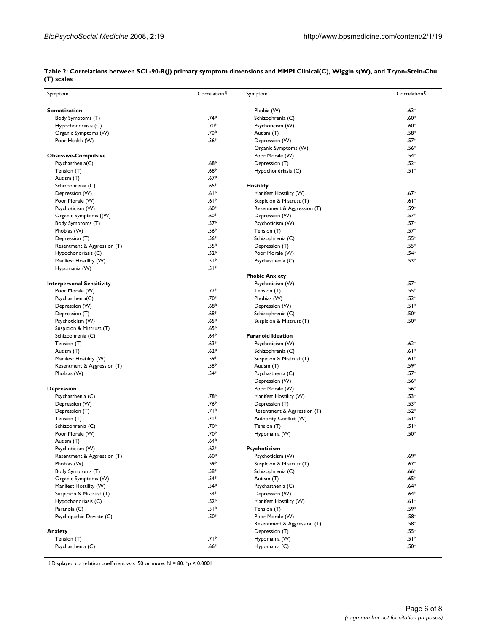| Symptom                          | Correlation <sup>1</sup> ) | Symptom                     | Correlation <sup>1</sup> ) |  |  |
|----------------------------------|----------------------------|-----------------------------|----------------------------|--|--|
| <b>Somatization</b>              |                            | Phobia (W)                  | $.63*$                     |  |  |
| Body Symptoms (T)                | $.74*$                     | Schizophrenia (C)           | $.60*$                     |  |  |
| Hypochondriasis (C)              | $.70*$                     | Psychoticism (W)            | $.60*$                     |  |  |
| Organic Symptoms (W)             | $.70*$                     | Autism (T)                  | .58*                       |  |  |
| Poor Health (W)                  | $.56*$                     | Depression (W)              | $.57*$                     |  |  |
|                                  |                            | Organic Symptoms (W)        | .56*                       |  |  |
| <b>Obsessive-Compulsive</b>      |                            | Poor Morale (W)             | $.54*$                     |  |  |
| Psychasthenia(C)                 | $.68*$                     | Depression (T)              | $.52*$                     |  |  |
| Tension (T)                      | $.68*$                     | Hypochondriasis (C)         | $.51*$                     |  |  |
| Autism (T)                       | $.67*$                     |                             |                            |  |  |
| Schizophrenia (C)                | $.65*$                     | <b>Hostility</b>            |                            |  |  |
| Depression (W)                   | $.61*$                     | Manifest Hostility (W)      | $.67*$                     |  |  |
| Poor Morale (W)                  | $.61*$                     | Suspicion & Mistrust (T)    | $.61*$                     |  |  |
| Psychoticism (W)                 | $.60*$                     | Resentment & Aggression (T) | .59*                       |  |  |
| Organic Symptoms ((W)            | $.60*$                     | Depression (W)              | $.57*$                     |  |  |
| Body Symptoms (T)                | $.57*$                     | Psychoticism (W)            | $.57*$                     |  |  |
| Phobias (W)                      | $.56*$                     | Tension (T)                 | $.57*$                     |  |  |
|                                  | $.56*$                     |                             | $.55*$                     |  |  |
| Depression (T)                   |                            | Schizophrenia (C)           |                            |  |  |
| Resentment & Aggression (T)      | $.55*$                     | Depression (T)              | $.55*$                     |  |  |
| Hypochondriasis (C)              | $.52*$                     | Poor Morale (W)             | $.54*$                     |  |  |
| Manifest Hostility (W)           | $.51*$                     | Psychasthenia (C)           | $.53*$                     |  |  |
| Hypomania (W)                    | $.51*$                     |                             |                            |  |  |
|                                  |                            | <b>Phobic Anxiety</b>       |                            |  |  |
| <b>Interpersonal Sensitivity</b> |                            | Psychoticism (W)            | $.57*$                     |  |  |
| Poor Morale (W)                  | $.72*$                     | Tension (T)                 | $.55*$                     |  |  |
| Psychasthenia(C)                 | .70*                       | Phobias (W)                 | $.52*$                     |  |  |
| Depression (W)                   | $.68*$                     | Depression (W)              | $.51*$                     |  |  |
| Depression (T)                   | $.68*$                     | Schizophrenia (C)           | $.50*$                     |  |  |
| Psychoticism (W)                 | .65*                       | Suspicion & Mistrust (T)    | $.50*$                     |  |  |
| Suspicion & Mistrust (T)         | $.65*$                     |                             |                            |  |  |
| Schizophrenia (C)                | $.64*$                     | <b>Paranoid Ideation</b>    |                            |  |  |
| Tension (T)                      | $.63*$                     | Psychoticism (W)            | $.62*$                     |  |  |
| Autism (T)                       | $.62*$                     | Schizophrenia (C)           | $.61*$                     |  |  |
| Manifest Hostility (W)           | .59*                       | Suspicion & Mistrust (T)    | $.61*$                     |  |  |
| Resentment & Aggression (T)      | $.58*$                     | Autism (T)                  | .59*                       |  |  |
| Phobias (W)                      | $.54*$                     | Psychasthenia (C)           | $.57*$                     |  |  |
|                                  |                            | Depression (W)              | $.56*$                     |  |  |
| <b>Depression</b>                |                            | Poor Morale (W)             | $.56*$                     |  |  |
| Psychasthenia (C)                | .78*                       | Manifest Hostility (W)      | .53*                       |  |  |
| Depression (W)                   | $.76*$                     | Depression (T)              | $.53*$                     |  |  |
| Depression (T)                   | $.71*$                     | Resentment & Aggression (T) | $.52*$                     |  |  |
| Tension (T)                      | $.71*$                     | Authority Conflict (W)      | $.51*$                     |  |  |
| Schizophrenia (C)                | $.70*$                     | Tension (T)                 | $.51*$                     |  |  |
| Poor Morale (W)                  | $.70*$                     | Hypomania (W)               | $.50*$                     |  |  |
| Autism (T)                       | $.64*$                     |                             |                            |  |  |
| Psychoticism (W)                 | $.62*$                     | Psychoticism                |                            |  |  |
| Resentment & Aggression (T)      | $.60*$                     | Psychoticism (W)            | $.69*$                     |  |  |
| Phobias (W)                      | .59*                       | Suspicion & Mistrust (T)    | $.67*$                     |  |  |
| Body Symptoms (T)                | .58*                       | Schizophrenia (C)           | $.66*$                     |  |  |
| Organic Symptoms (W)             | $.54*$                     | Autism (T)                  | $.65*$                     |  |  |
| Manifest Hostility (W)           | $.54*$                     | Psychasthenia (C)           | $.64*$                     |  |  |
| Suspicion & Mistrust (T)         | .54*                       | Depression (W)              | $.64*$                     |  |  |
| Hypochondriasis (C)              | .52*                       | Manifest Hostility (W)      | $.61*$                     |  |  |
|                                  | $.51*$                     |                             | $.59*$                     |  |  |
| Paranoia (C)                     | $.50*$                     | Tension (T)                 | .58*                       |  |  |
| Psychopathic Deviate (C)         |                            | Poor Morale (W)             | $.58*$                     |  |  |
|                                  |                            | Resentment & Aggression (T) |                            |  |  |
| Anxiety                          |                            | Depression (T)              | $.55*$                     |  |  |
| Tension (T)                      | $.71*$                     | Hypomania (W)               | $.51*$                     |  |  |
| Psychasthenia (C)                | $.66*$                     | Hypomania (C)               | $.50*$                     |  |  |

| Table 2: Correlations between SCL-90-R(J) primary symptom dimensions and MMPI Clinical(C), Wiggin s(W), and Tryon-Stein-Chu |  |  |
|-----------------------------------------------------------------------------------------------------------------------------|--|--|
| (T) scales                                                                                                                  |  |  |

<sup>1)</sup> Displayed correlation coefficient was .50 or more.  $N = 80$ .  $*_{P} < 0.0001$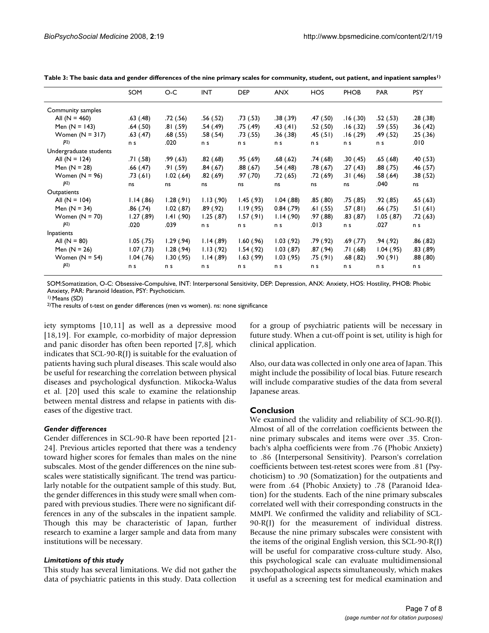|                        | SOM            | O-C          | <b>INT</b> | <b>DEP</b> | <b>ANX</b>   | <b>HOS</b> | <b>PHOB</b> | <b>PAR</b>   | <b>PSY</b> |
|------------------------|----------------|--------------|------------|------------|--------------|------------|-------------|--------------|------------|
| Community samples      |                |              |            |            |              |            |             |              |            |
| All $(N = 460)$        | .63(.48)       | .72(.56)     | .56(.52)   | .73(.53)   | .38(.39)     | .47(.50)   | .16(.30)    | .52(.53)     | .28(.38)   |
| Men $(N = 143)$        | .64(.50)       | .81(.59)     | .54 (.49)  | .75 (.49)  | .43(.41)     | .52 (.50)  | .16(0.32)   | .59 (.55)    | .36(.42)   |
| Women $(N = 317)$      | .63(.47)       | .68(.55)     | .58 (.54)  | .73(.55)   | .36(.38)     | .45(.51)   | .16(0.29)   | .49(.52)     | .25(.36)   |
| P <sup>2</sup>         | n s            | .020         | n s        | n s        | n s          | n s        | n s         | n s          | .010       |
| Undergraduate students |                |              |            |            |              |            |             |              |            |
| All $(N = 124)$        | .71(.58)       | .99(63)      | .82(.68)   | .95(.69)   | .68(.62)     | .74(.68)   | .30(.45)    | .65(.68)     | .40 (.53)  |
| Men $(N = 28)$         | .66(.47)       | .91(.59)     | .84(.67)   | .88(.67)   | .54(.48)     | .78(.67)   | .27(0.43)   | .88(.75)     | .46(.57)   |
| Women $(N = 96)$       | .73(61)        | 1.02(64)     | .82(.69)   | .97(0.70)  | .72(0.65)    | .72 (.69)  | .31(.46)    | .58(.64)     | .38(.52)   |
| P <sup>2</sup>         | ns             | ns           | ns         | ns         | ns           | ns         | ns          | .040         | ns         |
| Outpatients            |                |              |            |            |              |            |             |              |            |
| All $(N = 104)$        | 1.14(0.86)     | 1.28(.91)    | 1.13(0.90) | 1.45(0.93) | 1.04(0.88)   | .85(.80)   | .75(0.85)   | .92 (.85)    | .65(.63)   |
| Men $(N = 34)$         | .86 (.74)      | $1.02$ (.87) | .89(.92)   | 1.19(0.95) | 0.84(0.79)   | .61(.55)   | .57(.81)    | .66 (.75)    | .51(.61)   |
| Women $(N = 70)$       | 1.27(0.89)     | 1.41(0.90)   | 1.25(.87)  | 1.57(.91)  | 1.14(0.90)   | .97(0.88)  | .83(.87)    | $1.05$ (.87) | .72(0.63)  |
| P <sub>2</sub>         | .020           | .039         | n s        | n s        | n s          | .013       | n s         | .027         | n s        |
| Inpatients             |                |              |            |            |              |            |             |              |            |
| All $(N = 80)$         | $1.05$ (.75)   | 1.29(94)     | 1.14(.89)  | 1.60(0.96) | 1.03(92)     | .79 (.92)  | .69(.77)    | .94(.92)     | .86(.82)   |
| Men $(N = 26)$         | 1.07(0.73)     | 1.28(.94)    | 1.13(92)   | 1.54(0.92) | $1.03$ (.87) | .87(.94)   | .71 (.68)   | 1.04(0.95)   | .83(.89)   |
| Women $(N = 54)$       | $1.04$ $(.76)$ | 1.30(0.95)   | 1.14(0.89) | 1.63(99)   | 1.03(95)     | .75(.91)   | .68(.82)    | .90(0.91)    | .88(.80)   |
| P <sup>2</sup>         | n s            | n s          | n s        | n s        | n s          | n s        | n s         | n s          | n s        |

**Table 3: The basic data and gender differences of the nine primary scales for community, student, out patient, and inpatient samples1)**

SOM:Somatization, O-C: Obsessive-Compulsive, INT: Interpersonal Sensitivity, DEP: Depression, ANX: Anxiety, HOS: Hostility, PHOB: Phobic Anxiety, PAR: Paranoid Ideation, PSY: Psychoticism.

1) Means (SD)

2)The results of t-test on gender differences (men vs women). ns: none significance

iety symptoms [10,11] as well as a depressive mood [18,19]. For example, co-morbidity of major depression and panic disorder has often been reported [7,8], which indicates that SCL-90-R(J) is suitable for the evaluation of patients having such plural diseases. This scale would also be useful for researching the correlation between physical diseases and psychological dysfunction. Mikocka-Walus et al. [20] used this scale to examine the relationship between mental distress and relapse in patients with diseases of the digestive tract.

#### *Gender differences*

Gender differences in SCL-90-R have been reported [21- 24]. Previous articles reported that there was a tendency toward higher scores for females than males on the nine subscales. Most of the gender differences on the nine subscales were statistically significant. The trend was particularly notable for the outpatient sample of this study. But, the gender differences in this study were small when compared with previous studies. There were no significant differences in any of the subscales in the inpatient sample. Though this may be characteristic of Japan, further research to examine a larger sample and data from many institutions will be necessary.

#### *Limitations of this study*

This study has several limitations. We did not gather the data of psychiatric patients in this study. Data collection

for a group of psychiatric patients will be necessary in future study. When a cut-off point is set, utility is high for clinical application.

Also, our data was collected in only one area of Japan. This might include the possibility of local bias. Future research will include comparative studies of the data from several Japanese areas.

#### **Conclusion**

We examined the validity and reliability of SCL-90-R(J). Almost of all of the correlation coefficients between the nine primary subscales and items were over .35. Cronbach's alpha coefficients were from .76 (Phobic Anxiety) to .86 (Interpersonal Sensitivity). Pearson's correlation coefficients between test-retest scores were from .81 (Psychoticism) to .90 (Somatization) for the outpatients and were from .64 (Phobic Anxiety) to .78 (Paranoid Ideation) for the students. Each of the nine primary subscales correlated well with their corresponding constructs in the MMPI. We confirmed the validity and reliability of SCL-90-R(J) for the measurement of individual distress. Because the nine primary subscales were consistent with the items of the original English version, this SCL-90-R(J) will be useful for comparative cross-culture study. Also, this psychological scale can evaluate multidimensional psychopathological aspects simultaneously, which makes it useful as a screening test for medical examination and